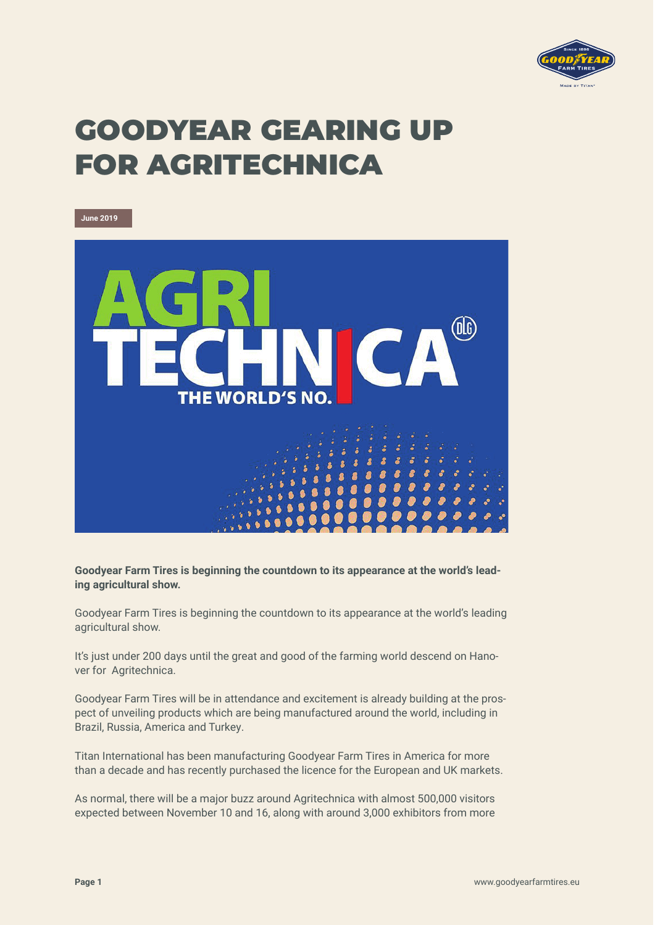

## GOODYEAR GEARING UP FOR AGRITECHNICA

**June 2019 OG THE WORLD'S NO.** 

**Goodyear Farm Tires is beginning the countdown to its appearance at the world's leading agricultural show.**

Goodyear Farm Tires is beginning the countdown to its appearance at the world's leading agricultural show.

It's just under 200 days until the great and good of the farming world descend on Hanover for Agritechnica.

Goodyear Farm Tires will be in attendance and excitement is already building at the prospect of unveiling products which are being manufactured around the world, including in Brazil, Russia, America and Turkey.

Titan International has been manufacturing Goodyear Farm Tires in America for more than a decade and has recently purchased the licence for the European and UK markets.

As normal, there will be a major buzz around Agritechnica with almost 500,000 visitors expected between November 10 and 16, along with around 3,000 exhibitors from more

**Page 1** www.goodyearfarmtires.eu